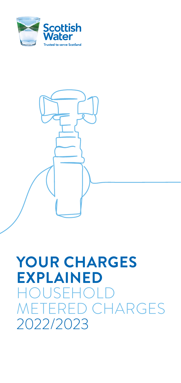



# **YOUR CHARGES EXPLAINED** HOUSEHOLD METERED CHARGES 2022/2023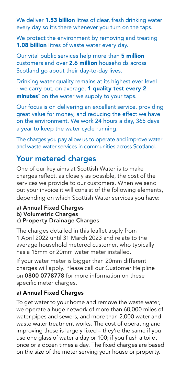We deliver **1.53 billion** litres of clear, fresh drinking water every day so it's there whenever you turn on the taps.

We protect the environment by removing and treating **1.08 billion** litres of waste water every day.

Our vital public services help more than 5 million customers and over 2.6 million households across Scotland go about their day-to-day lives.

Drinking water quality remains at its highest ever level - we carry out, on average, 1 quality test every 2 minutes† on the water we supply to your taps.

Our focus is on delivering an excellent service, providing great value for money, and reducing the effect we have on the environment. We work 24 hours a day, 365 days a year to keep the water cycle running.

The charges you pay allow us to operate and improve water and waste water services in communities across Scotland.

#### Your metered charges

One of our key aims at Scottish Water is to make charges reflect, as closely as possible, the cost of the services we provide to our customers. When we send out your invoice it will consist of the following elements, depending on which Scottish Water services you have:

#### a) Annual Fixed Charges

- b) Volumetric Charges
- c) Property Drainage Charges

The charges detailed in this leaflet apply from 1 April 2022 until 31 March 2023 and relate to the average household metered customer, who typically has a 15mm or 20mm water meter installed.

If your water meter is bigger than 20mm different charges will apply. Please call our Customer Helpline on 0800 0778778 for more information on these specific meter charges.

#### a) Annual Fixed Charges

To get water to your home and remove the waste water, we operate a huge network of more than 60,000 miles of water pipes and sewers, and more than 2,000 water and waste water treatment works. The cost of operating and improving these is largely fixed – they're the same if you use one glass of water a day or 100; if you flush a toilet once or a dozen times a day. The fixed charges are based on the size of the meter serving your house or property.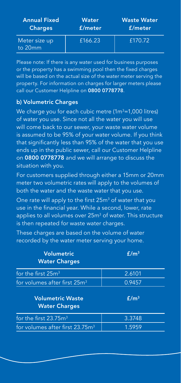| Annual Fixed             | Water   | <b>Waste Water</b> |
|--------------------------|---------|--------------------|
| <b>Charges</b>           | £/meter | £/meter            |
| Meter size up<br>to 20mm | £166.23 | £170.72            |

Please note: If there is any water used for business purposes or the property has a swimming pool then the fixed charges will be based on the actual size of the water meter serving the property. For information on charges for larger meters please call our Customer Helpline on 0800 0778778.

#### b) Volumetric Charges

We charge you for each cubic metre  $(1m^3=1,000$  litres) of water you use. Since not all the water you will use will come back to our sewer, your waste water volume is assumed to be 95% of your water volume. If you think that significantly less than 95% of the water that you use ends up in the public sewer, call our Customer Helpline on 0800 0778778 and we will arrange to discuss the situation with you.

For customers supplied through either a 15mm or 20mm meter two volumetric rates will apply to the volumes of both the water and the waste water that you use.

One rate will apply to the first 25m<sup>3</sup> of water that you use in the financial year. While a second, lower, rate applies to all volumes over 25m<sup>3</sup> of water. This structure is then repeated for waste water charges.

These charges are based on the volume of water recorded by the water meter serving your home.

| <b>Volumetric</b><br><b>Water Charges</b>       | E/m <sup>3</sup> |
|-------------------------------------------------|------------------|
| for the first $25m3$                            | 2.6101           |
| for volumes after first 25m <sup>3</sup>        | 0.9457           |
| <b>Volumetric Waste</b><br><b>Water Charges</b> | E/m <sup>3</sup> |
| for the first 23.75m <sup>3</sup>               | 3.3748           |
| for volumes after first 23.75m <sup>3</sup>     | 1.5959           |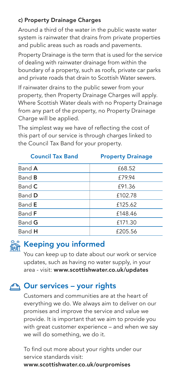#### c) Property Drainage Charges

Around a third of the water in the public waste water system is rainwater that drains from private properties and public areas such as roads and pavements.

Property Drainage is the term that is used for the service of dealing with rainwater drainage from within the boundary of a property, such as roofs, private car parks and private roads that drain to Scottish Water sewers.

If rainwater drains to the public sewer from your property, then Property Drainage Charges will apply. Where Scottish Water deals with no Property Drainage from any part of the property, no Property Drainage Charge will be applied.

The simplest way we have of reflecting the cost of this part of our service is through charges linked to the Council Tax Band for your property.

| <b>Council Tax Band</b> | <b>Property Drainage</b> |
|-------------------------|--------------------------|
| Band A                  | £68.52                   |
| Band <b>B</b>           | £79.94                   |
| Band C                  | £91.36                   |
| Band D                  | £102.78                  |
| Band E                  | £125.62                  |
| Band <b>F</b>           | £148.46                  |
| Band <b>G</b>           | £171.30                  |
| Band <b>H</b>           | £205.56                  |



## Keeping you informed

You can keep up to date about our work or service updates, such as having no water supply, in your area - visit: www.scottishwater.co.uk/updates

#### Our services – your rights

Customers and communities are at the heart of everything we do. We always aim to deliver on our promises and improve the service and value we provide. It is important that we aim to provide you with great customer experience – and when we say we will do something, we do it.

To find out more about your rights under our service standards visit: www.scottishwater.co.uk/ourpromises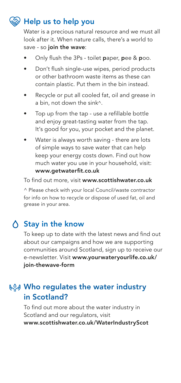## $\textcircled{x}$  Help us to help you

Water is a precious natural resource and we must all look after it. When nature calls, there's a world to save - so join the wave:

- Only flush the 3Ps toilet paper, pee & poo.
- Don't flush single-use wipes, period products or other bathroom waste items as these can contain plastic. Put them in the bin instead.
- Recycle or put all cooled fat, oil and grease in a bin, not down the sink^.
- Top up from the tap use a refillable bottle and enjoy great-tasting water from the tap. It's good for you, your pocket and the planet.
- Water is always worth saving there are lots of simple ways to save water that can help keep your energy costs down. Find out how much water you use in your household, visit: www.getwaterfit.co.uk

To find out more, visit www.scottishwater.co.uk

^ Please check with your local Council/waste contractor for info on how to recycle or dispose of used fat, oil and grease in your area.

## $\bigwedge$  Stay in the know

To keep up to date with the latest news and find out about our campaigns and how we are supporting communities around Scotland, sign up to receive our e-newsletter. Visit www.yourwateryourlife.co.uk/ join-thewave-form

### SA Who regulates the water industry in Scotland?

To find out more about the water industry in Scotland and our regulators, visit www.scottishwater.co.uk/WaterIndustryScot